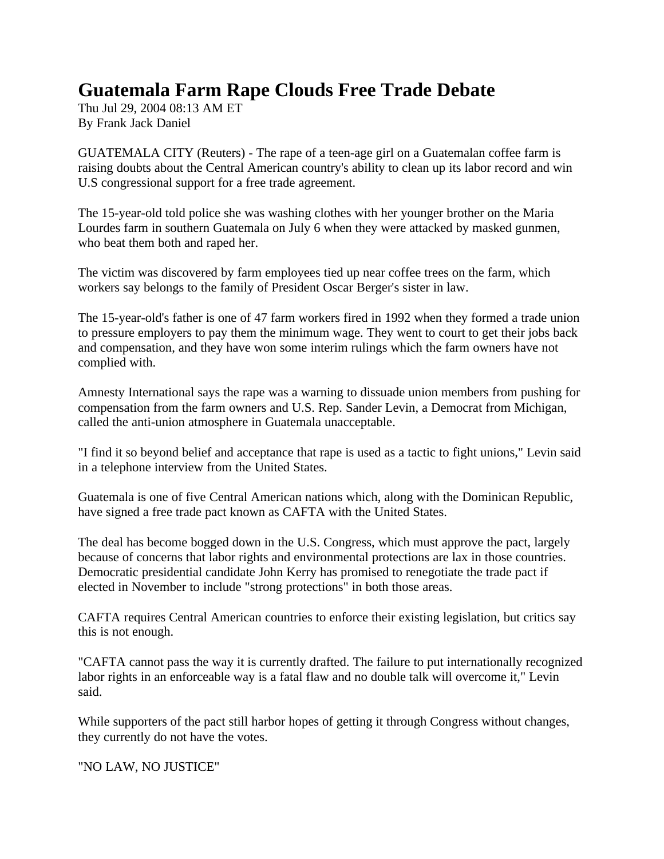## **Guatemala Farm Rape Clouds Free Trade Debate**

Thu Jul 29, 2004 08:13 AM ET By Frank Jack Daniel

GUATEMALA CITY (Reuters) - The rape of a teen-age girl on a Guatemalan coffee farm is raising doubts about the Central American country's ability to clean up its labor record and win U.S congressional support for a free trade agreement.

The 15-year-old told police she was washing clothes with her younger brother on the Maria Lourdes farm in southern Guatemala on July 6 when they were attacked by masked gunmen, who beat them both and raped her.

The victim was discovered by farm employees tied up near coffee trees on the farm, which workers say belongs to the family of President Oscar Berger's sister in law.

The 15-year-old's father is one of 47 farm workers fired in 1992 when they formed a trade union to pressure employers to pay them the minimum wage. They went to court to get their jobs back and compensation, and they have won some interim rulings which the farm owners have not complied with.

Amnesty International says the rape was a warning to dissuade union members from pushing for compensation from the farm owners and U.S. Rep. Sander Levin, a Democrat from Michigan, called the anti-union atmosphere in Guatemala unacceptable.

"I find it so beyond belief and acceptance that rape is used as a tactic to fight unions," Levin said in a telephone interview from the United States.

Guatemala is one of five Central American nations which, along with the Dominican Republic, have signed a free trade pact known as CAFTA with the United States.

The deal has become bogged down in the U.S. Congress, which must approve the pact, largely because of concerns that labor rights and environmental protections are lax in those countries. Democratic presidential candidate John Kerry has promised to renegotiate the trade pact if elected in November to include "strong protections" in both those areas.

CAFTA requires Central American countries to enforce their existing legislation, but critics say this is not enough.

"CAFTA cannot pass the way it is currently drafted. The failure to put internationally recognized labor rights in an enforceable way is a fatal flaw and no double talk will overcome it," Levin said.

While supporters of the pact still harbor hopes of getting it through Congress without changes, they currently do not have the votes.

"NO LAW, NO JUSTICE"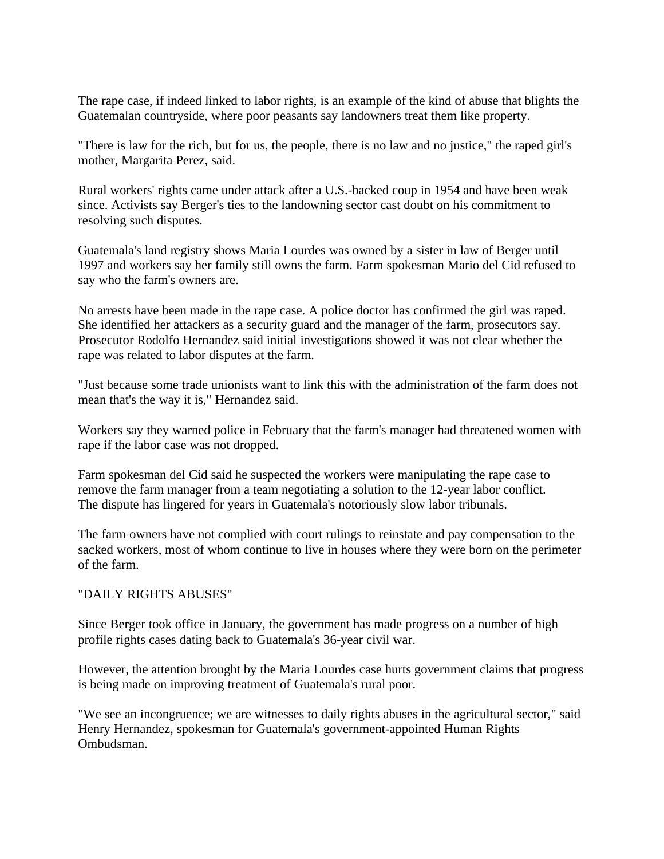The rape case, if indeed linked to labor rights, is an example of the kind of abuse that blights the Guatemalan countryside, where poor peasants say landowners treat them like property.

"There is law for the rich, but for us, the people, there is no law and no justice," the raped girl's mother, Margarita Perez, said.

Rural workers' rights came under attack after a U.S.-backed coup in 1954 and have been weak since. Activists say Berger's ties to the landowning sector cast doubt on his commitment to resolving such disputes.

Guatemala's land registry shows Maria Lourdes was owned by a sister in law of Berger until 1997 and workers say her family still owns the farm. Farm spokesman Mario del Cid refused to say who the farm's owners are.

No arrests have been made in the rape case. A police doctor has confirmed the girl was raped. She identified her attackers as a security guard and the manager of the farm, prosecutors say. Prosecutor Rodolfo Hernandez said initial investigations showed it was not clear whether the rape was related to labor disputes at the farm.

"Just because some trade unionists want to link this with the administration of the farm does not mean that's the way it is," Hernandez said.

Workers say they warned police in February that the farm's manager had threatened women with rape if the labor case was not dropped.

Farm spokesman del Cid said he suspected the workers were manipulating the rape case to remove the farm manager from a team negotiating a solution to the 12-year labor conflict. The dispute has lingered for years in Guatemala's notoriously slow labor tribunals.

The farm owners have not complied with court rulings to reinstate and pay compensation to the sacked workers, most of whom continue to live in houses where they were born on the perimeter of the farm.

## "DAILY RIGHTS ABUSES"

Since Berger took office in January, the government has made progress on a number of high profile rights cases dating back to Guatemala's 36-year civil war.

However, the attention brought by the Maria Lourdes case hurts government claims that progress is being made on improving treatment of Guatemala's rural poor.

"We see an incongruence; we are witnesses to daily rights abuses in the agricultural sector," said Henry Hernandez, spokesman for Guatemala's government-appointed Human Rights Ombudsman.